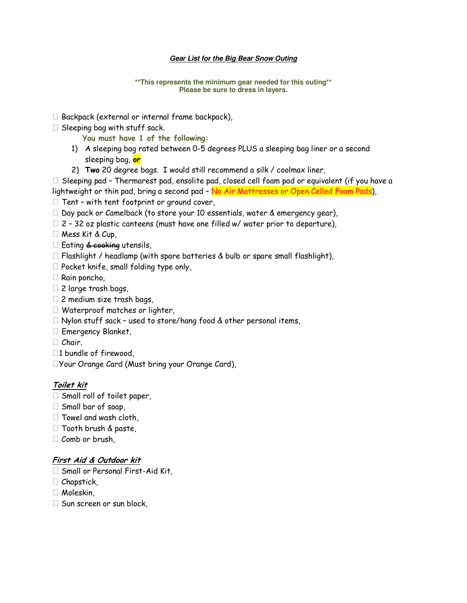## **Gear List for the Big Bear Snow Outing**

## **\*\*This represents the minimum gear needed for this outing\*\* Please be sure to dress in layers.**

 Backpack (external or internal frame backpack), Sleeping bag with stuff sack.

**You must have 1 of the following:** 

- 1) A sleeping bag rated between 0-5 degrees PLUS a sleeping bag liner or a second sleeping bag, **or**
- 2) **Two** 20 degree bags. I would still recommend a silk / coolmax liner,

 Sleeping pad – Thermarest pad, ensolite pad, closed cell foam pad or equivalent (if you have a lightweight or thin pad, bring a second pad - No Air Mattresses or Open Celled Foam Pads),

Tent – with tent footprint or ground cover,

Day pack or Camelback (to store your 10 essentials, water & emergency gear),

2 – 32 oz plastic canteens (must have one filled w/ water prior to departure),

Mess Kit & Cup,

Eating & cooking utensils,

Flashlight / headlamp (with spare batteries & bulb or spare small flashlight),

Pocket knife, small folding type only,

Rain poncho,

2 large trash bags,

2 medium size trash bags,

Waterproof matches or lighter,

Nylon stuff sack – used to store/hang food & other personal items,

Emergency Blanket,

Chair,

1 bundle of firewood,

Your Orange Card (Must bring your Orange Card),

## **Toilet kit**

 Small roll of toilet paper, Small bar of soap, Towel and wash cloth, Tooth brush & paste, Comb or brush,

## **First Aid & Outdoor kit**

 Small or Personal First-Aid Kit, Chapstick, Moleskin, Sun screen or sun block,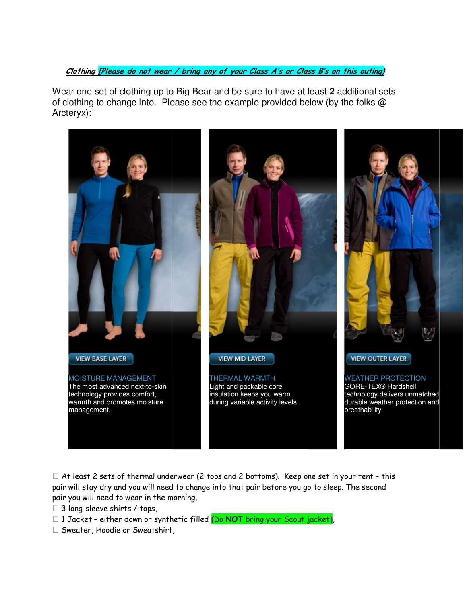**Clothing [Please do not wear / bring any of your Class A's or Class B's on this outing)** 

Wear one set of clothing up to Big Bear and be sure to have at least **2** additional sets of clothing to change into. Please see the example provided below (by the folks @ Arcteryx):



 At least 2 sets of thermal underwear (2 tops and 2 bottoms). Keep one set in your tent – this pair will stay dry and you will need to change into that pair before you go to sleep. The second pair you will need to wear in the morning,

3 long-sleeve shirts / tops,

 1 Jacket – either down or synthetic filled (Do **NOT** bring your Scout jacket), Sweater, Hoodie or Sweatshirt,